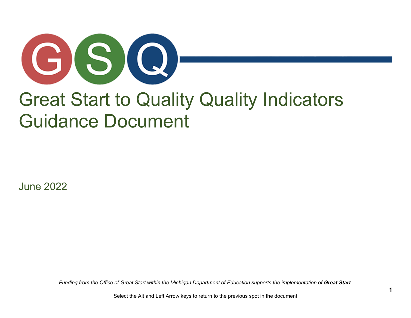

# Great Start to Quality Quality Indicators Guidance Document

June 2022

*Funding from the Office of Great Start within the Michigan Department of Education supports the implementation of Great Start.* 

Select the Alt and Left Arrow keys to return to the previous spot in the document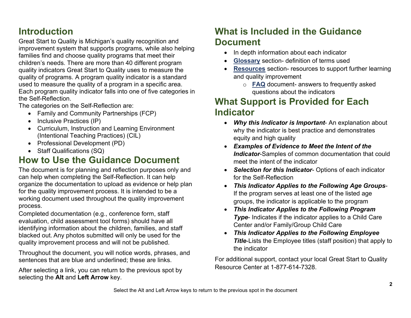# **Introduction**

Great Start to Quality is Michigan's quality recognition and improvement system that supports programs, while also helping families find and choose quality programs that meet their children's needs. There are more than 40 different program quality indicators Great Start to Quality uses to measure the quality of programs. A program quality indicator is a standard used to measure the quality of a program in a specific area. Each program quality indicator falls into one of five categories in the Self-Reflection.

The categories on the Self-Reflection are:

- Family and Community Partnerships (FCP)
- Inclusive Practices (IP)
- Curriculum, Instruction and Learning Environment (Intentional Teaching Practices) (CIL)
- Professional Development (PD)
- Staff Qualifications (SQ)

# **How to Use the Guidance Document**

The document is for planning and reflection purposes only and can help when completing the Self-Reflection. It can help organize the documentation to upload as evidence or help plan for the quality improvement process. It is intended to be a working document used throughout the quality improvement process.

Completed documentation (e.g., conference form, staff evaluation, child assessment tool forms) should have all identifying information about the children, families, and staff blacked out. Any photos submitted will only be used for the quality improvement process and will not be published.

Throughout the document, you will notice words, phrases, and sentences that are blue and underlined; these are links.

After selecting a link, you can return to the previous spot by selecting the **Alt** and **Left Arrow** key.

# **What is Included in the Guidance Document**

- In depth information about each indicator
- **[Glossary](#page-45-0)** section- definition of terms used
- **[Resources](#page-48-0)** section- resources to support further learning and quality improvement
	- o **[FAQ](#page-49-0)** document- answers to frequently asked questions about the indicators

# **What Support is Provided for Each Indicator**

- *Why this Indicator is Important* An explanation about why the indicator is best practice and demonstrates equity and high quality
- *Examples of Evidence to Meet the Intent of the Indicator*-Samples of common documentation that could meet the intent of the indicator
- *Selection for this Indicator* Options of each indicator for the Self-Reflection
- *This Indicator Applies to the Following Age Groups*-If the program serves at least one of the listed age groups, the indicator is applicable to the program
- *This Indicator Applies to the Following Program Type*- Indicates if the indicator applies to a Child Care Center and/or Family/Group Child Care
- *This Indicator Applies to the Following Employee Title*-Lists the Employee titles (staff position) that apply to the indicator

For additional support, contact your local Great Start to Quality Resource Center at 1-877-614-7328.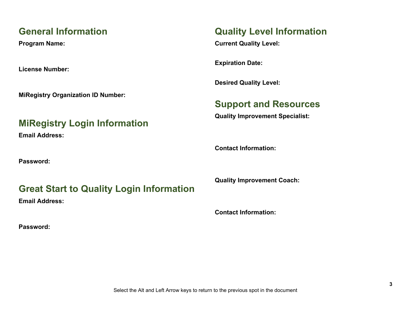# **General Information**

**Program Name:**

**License Number:**

**MiRegistry Organization ID Number:**

# **MiRegistry Login Information**

**Email Address:**

**Password:**

# **Great Start to Quality Login Information**

**Email Address:**

**Password:**

# **Quality Level Information**

**Current Quality Level:**

**Expiration Date:**

**Desired Quality Level:**

# **Support and Resources**

**Quality Improvement Specialist:**

**Contact Information:**

**Quality Improvement Coach:**

**Contact Information:**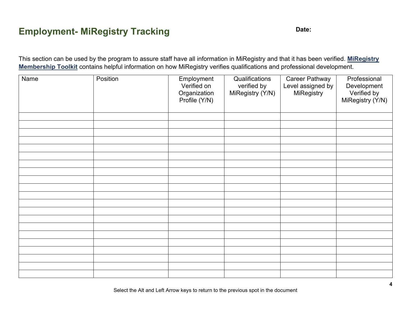# **Employment- MiRegistry Tracking <b>Date:** Date:

This section can be used by the program to assure staff have all information in MiRegistry and that it has been verified. **[MiRegistry](#page-49-1)  [Membership Toolkit](#page-49-1)** contains helpful information on how MiRegistry verifies qualifications and professional development.

| Name | Position | Employment<br>Verified on<br>Organization<br>Profile (Y/N) | Qualifications<br>verified by<br>MiRegistry (Y/N) | <b>Career Pathway</b><br>Level assigned by<br>MiRegistry | Professional<br>Development<br>Verified by<br>MiRegistry (Y/N) |
|------|----------|------------------------------------------------------------|---------------------------------------------------|----------------------------------------------------------|----------------------------------------------------------------|
|      |          |                                                            |                                                   |                                                          |                                                                |
|      |          |                                                            |                                                   |                                                          |                                                                |
|      |          |                                                            |                                                   |                                                          |                                                                |
|      |          |                                                            |                                                   |                                                          |                                                                |
|      |          |                                                            |                                                   |                                                          |                                                                |
|      |          |                                                            |                                                   |                                                          |                                                                |
|      |          |                                                            |                                                   |                                                          |                                                                |
|      |          |                                                            |                                                   |                                                          |                                                                |
|      |          |                                                            |                                                   |                                                          |                                                                |
|      |          |                                                            |                                                   |                                                          |                                                                |
|      |          |                                                            |                                                   |                                                          |                                                                |
|      |          |                                                            |                                                   |                                                          |                                                                |
|      |          |                                                            |                                                   |                                                          |                                                                |
|      |          |                                                            |                                                   |                                                          |                                                                |
|      |          |                                                            |                                                   |                                                          |                                                                |
|      |          |                                                            |                                                   |                                                          |                                                                |
|      |          |                                                            |                                                   |                                                          |                                                                |
|      |          |                                                            |                                                   |                                                          |                                                                |
|      |          |                                                            |                                                   |                                                          |                                                                |
|      |          |                                                            |                                                   |                                                          |                                                                |
|      |          |                                                            |                                                   |                                                          |                                                                |

Select the Alt and Left Arrow keys to return to the previous spot in the document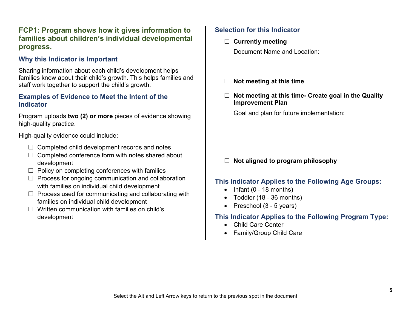# **FCP1: Program shows how it gives information to families about children's individual developmental progress.**

#### **Why this Indicator is Important**

Sharing information about each child's development helps families know about their child's growth. This helps families and staff work together to support the child's growth.

#### **Examples of Evidence to Meet the Intent of the Indicator**

Program uploads **two (2) or more** pieces of evidence showing high-quality practice.

High-quality evidence could include:

- $\Box$  Completed child development records and notes
- $\Box$  Completed conference form with notes shared about development
- $\Box$  Policy on completing conferences with families
- $\Box$  Process for ongoing communication and collaboration with families on individual child development
- $\Box$  Process used for communicating and collaborating with families on individual child development
- $\Box$  Written communication with families on child's development

# **Selection for this Indicator**

- **Currently meeting** Document Name and Location:
	-
- **Not meeting at this time**
- **Not meeting at this time- Create goal in the Quality Improvement Plan**

Goal and plan for future implementation:

# **Not aligned to program philosophy**

# **This Indicator Applies to the Following Age Groups:**

- $\bullet$  Infant (0 18 months)
- Toddler (18 36 months)
- Preschool (3 5 years)

- Child Care Center
- Family/Group Child Care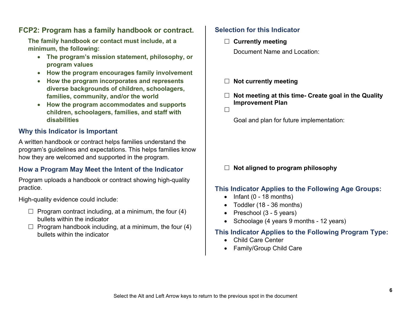# **FCP2: Program has a family handbook or contract.**

**The family handbook or contact must include, at a minimum, the following:**

- **The program's mission statement, philosophy, or program values**
- **How the program encourages family involvement**
- **How the program incorporates and represents diverse backgrounds of children, schoolagers, families, community, and/or the world**
- **How the program accommodates and supports children, schoolagers, families, and staff with disabilities**

# **Why this Indicator is Important**

A written handbook or contract helps families understand the program's guidelines and expectations. This helps families know how they are welcomed and supported in the program.

### **How a Program May Meet the Intent of the Indicator**

Program uploads a handbook or contract showing high-quality practice.

High-quality evidence could include:

- $\Box$  Program contract including, at a minimum, the four (4) bullets within the indicator
- $\Box$  Program handbook including, at a minimum, the four (4) bullets within the indicator

### **Selection for this Indicator**

- **Currently meeting** Document Name and Location:
- **Not currently meeting**
- **Not meeting at this time- Create goal in the Quality Improvement Plan**
- $\Box$

Goal and plan for future implementation:

#### **Not aligned to program philosophy**

### **This Indicator Applies to the Following Age Groups:**

- Infant  $(0 18$  months)
- Toddler (18 36 months)
- Preschool (3 5 years)
- Schoolage (4 years 9 months 12 years)

- Child Care Center
- Family/Group Child Care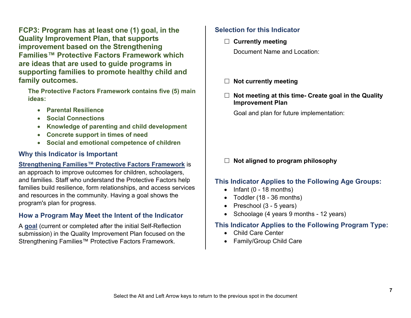**FCP3: Program has at least one (1) goal, in the Quality Improvement Plan, that supports improvement based on the Strengthening Families™ Protective Factors Framework which are ideas that are used to guide programs in supporting families to promote healthy child and family outcomes.**

**The Protective Factors Framework contains five (5) main ideas:** 

- **Parental Resilience**
- **Social Connections**
- **Knowledge of parenting and child development**
- **Concrete support in times of need**
- **Social and emotional competence of children**

# **Why this Indicator is Important**

#### **[Strengthening Families™ Protective Factors Framework](#page-48-1)** is

an approach to improve outcomes for children, schoolagers, and families. Staff who understand the Protective Factors help families build resilience, form relationships, and access services and resources in the community. Having a goal shows the program's plan for progress.

# **How a Program May Meet the Intent of the Indicator**

A **[goal](#page-47-0)** (current or completed after the initial Self-Reflection submission) in the Quality Improvement Plan focused on the Strengthening Families™ Protective Factors Framework.

# **Selection for this Indicator**

**Currently meeting**

Document Name and Location:

- **Not currently meeting**
- **Not meeting at this time- Create goal in the Quality Improvement Plan**

Goal and plan for future implementation:

# **Not aligned to program philosophy**

# **This Indicator Applies to the Following Age Groups:**

- $\bullet$  Infant (0 18 months)
- Toddler (18 36 months)
- Preschool (3 5 years)
- Schoolage (4 years 9 months 12 years)

- Child Care Center
- Family/Group Child Care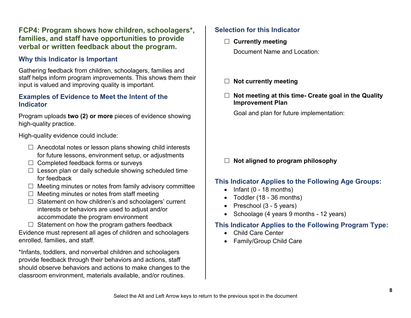# **FCP4: Program shows how children, schoolagers\*, families, and staff have opportunities to provide verbal or written feedback about the program.**

# **Why this Indicator is Important**

Gathering feedback from children, schoolagers, families and staff helps inform program improvements. This shows them their input is valued and improving quality is important.

#### **Examples of Evidence to Meet the Intent of the Indicator**

Program uploads **two (2) or more** pieces of evidence showing high-quality practice.

High-quality evidence could include:

- $\Box$  Anecdotal notes or lesson plans showing child interests for future lessons, environment setup, or adjustments
- $\Box$  Completed feedback forms or surveys
- $\Box$  Lesson plan or daily schedule showing scheduled time for feedback
- $\Box$  Meeting minutes or notes from family advisory committee
- $\Box$  Meeting minutes or notes from staff meeting
- $\Box$  Statement on how children's and schoolagers' current interests or behaviors are used to adjust and/or accommodate the program environment

 $\Box$  Statement on how the program gathers feedback Evidence must represent all ages of children and schoolagers enrolled, families, and staff.

\*Infants, toddlers, and nonverbal children and schoolagers provide feedback through their behaviors and actions, staff should observe behaviors and actions to make changes to the classroom environment, materials available, and/or routines.

# **Selection for this Indicator**

**Currently meeting**

Document Name and Location:

- **Not currently meeting**
- **Not meeting at this time- Create goal in the Quality Improvement Plan**

Goal and plan for future implementation:

# **Not aligned to program philosophy**

### **This Indicator Applies to the Following Age Groups:**

- $\bullet$  Infant (0 18 months)
- Toddler (18 36 months)
- Preschool (3 5 years)
- Schoolage (4 years 9 months 12 years)

- Child Care Center
- Family/Group Child Care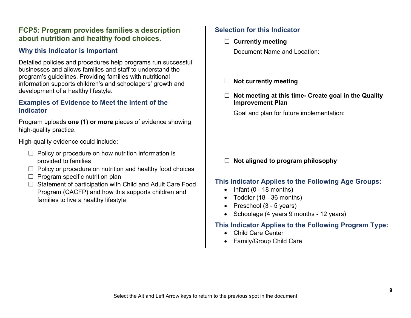# **FCP5: Program provides families a description about nutrition and healthy food choices.**

# **Why this Indicator is Important**

Detailed policies and procedures help programs run successful businesses and allows families and staff to understand the program's guidelines. Providing families with nutritional information supports children's and schoolagers' growth and development of a healthy lifestyle.

#### **Examples of Evidence to Meet the Intent of the Indicator**

Program uploads **one (1) or more** pieces of evidence showing high-quality practice.

High-quality evidence could include:

- $\Box$  Policy or procedure on how nutrition information is provided to families
- $\Box$  Policy or procedure on nutrition and healthy food choices
- $\Box$  Program specific nutrition plan
- $\Box$  Statement of participation with Child and Adult Care Food Program (CACFP) and how this supports children and families to live a healthy lifestyle

#### **Selection for this Indicator**

**Currently meeting**

Document Name and Location:

- **Not currently meeting**
- **Not meeting at this time- Create goal in the Quality Improvement Plan**

Goal and plan for future implementation:

#### **Not aligned to program philosophy**

#### **This Indicator Applies to the Following Age Groups:**

- $\bullet$  Infant (0 18 months)
- Toddler (18 36 months)
- Preschool (3 5 years)
- Schoolage (4 years 9 months 12 years)

- Child Care Center
- Family/Group Child Care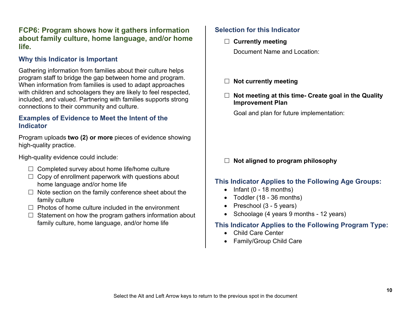# **FCP6: Program shows how it gathers information about family culture, home language, and/or home life.**

### **Why this Indicator is Important**

Gathering information from families about their culture helps program staff to bridge the gap between home and program. When information from families is used to adapt approaches with children and schoolagers they are likely to feel respected, included, and valued. Partnering with families supports strong connections to their community and culture.

#### **Examples of Evidence to Meet the Intent of the Indicator**

Program uploads **two (2) or more** pieces of evidence showing high-quality practice.

High-quality evidence could include:

- $\Box$  Completed survey about home life/home culture
- $\Box$  Copy of enrollment paperwork with questions about home language and/or home life
- $\Box$  Note section on the family conference sheet about the family culture
- $\Box$  Photos of home culture included in the environment
- $\Box$  Statement on how the program gathers information about family culture, home language, and/or home life

# **Selection for this Indicator**

**Currently meeting**

Document Name and Location:

- **Not currently meeting**
- **Not meeting at this time- Create goal in the Quality Improvement Plan**

Goal and plan for future implementation:

### **Not aligned to program philosophy**

### **This Indicator Applies to the Following Age Groups:**

- $\bullet$  Infant (0 18 months)
- Toddler (18 36 months)
- Preschool (3 5 years)
- Schoolage (4 years 9 months 12 years)

- Child Care Center
- Family/Group Child Care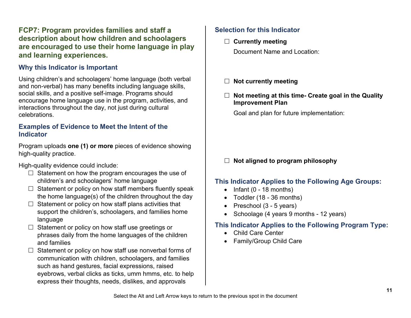# **FCP7: Program provides families and staff a description about how children and schoolagers are encouraged to use their home language in play and learning experiences.**

# **Why this Indicator is Important**

Using children's and schoolagers' home language (both verbal and non-verbal) has many benefits including language skills, social skills, and a positive self-image. Programs should encourage home language use in the program, activities, and interactions throughout the day, not just during cultural celebrations.

#### **Examples of Evidence to Meet the Intent of the Indicator**

Program uploads **one (1) or more** pieces of evidence showing high-quality practice.

High-quality evidence could include:

- $\Box$  Statement on how the program encourages the use of children's and schoolagers' home language
- $\Box$  Statement or policy on how staff members fluently speak the home language(s) of the children throughout the day
- $\Box$  Statement or policy on how staff plans activities that support the children's, schoolagers, and families home language
- $\Box$  Statement or policy on how staff use greetings or phrases daily from the home languages of the children and families
- $\Box$  Statement or policy on how staff use nonverbal forms of communication with children, schoolagers, and families such as hand gestures, facial expressions, raised eyebrows, verbal clicks as ticks, umm hmms, etc. to help express their thoughts, needs, dislikes, and approvals

# **Selection for this Indicator**

**Currently meeting**

Document Name and Location:

- **Not currently meeting**
- **Not meeting at this time- Create goal in the Quality Improvement Plan**

Goal and plan for future implementation:

### **Not aligned to program philosophy**

#### **This Indicator Applies to the Following Age Groups:**

- $\bullet$  Infant (0 18 months)
- Toddler (18 36 months)
- Preschool (3 5 years)
- Schoolage (4 years 9 months 12 years)

- Child Care Center
- Family/Group Child Care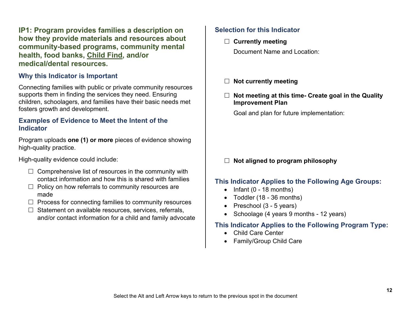**IP1: Program provides families a description on how they provide materials and resources about community-based programs, community mental health, food banks, [Child Find,](#page-45-1) and/or medical/dental resources.**

### **Why this Indicator is Important**

Connecting families with public or private community resources supports them in finding the services they need. Ensuring children, schoolagers, and families have their basic needs met fosters growth and development.

#### **Examples of Evidence to Meet the Intent of the Indicator**

Program uploads **one (1) or more** pieces of evidence showing high-quality practice.

High-quality evidence could include:

- $\Box$  Comprehensive list of resources in the community with contact information and how this is shared with families
- $\Box$  Policy on how referrals to community resources are made
- $\Box$  Process for connecting families to community resources
- $\Box$  Statement on available resources, services, referrals, and/or contact information for a child and family advocate

#### **Selection for this Indicator**

- **Currently meeting** Document Name and Location:
	-
- **Not currently meeting**
- **Not meeting at this time- Create goal in the Quality Improvement Plan**

Goal and plan for future implementation:

### **Not aligned to program philosophy**

### **This Indicator Applies to the Following Age Groups:**

- $\bullet$  Infant (0 18 months)
- Toddler (18 36 months)
- Preschool (3 5 years)
- Schoolage (4 years 9 months 12 years)

- Child Care Center
- Family/Group Child Care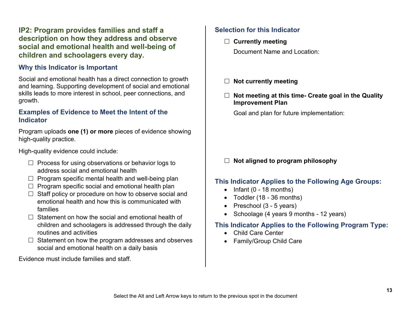# **IP2: Program provides families and staff a description on how they address and observe social and emotional health and well-being of children and schoolagers every day.**

#### **Why this Indicator is Important**

Social and emotional health has a direct connection to growth and learning. Supporting development of social and emotional skills leads to more interest in school, peer connections, and growth.

#### **Examples of Evidence to Meet the Intent of the Indicator**

Program uploads **one (1) or more** pieces of evidence showing high-quality practice.

High-quality evidence could include:

- $\Box$  Process for using observations or behavior logs to address social and emotional health
- $\Box$  Program specific mental health and well-being plan
- $\Box$  Program specific social and emotional health plan
- $\Box$  Staff policy or procedure on how to observe social and emotional health and how this is communicated with families
- $\Box$  Statement on how the social and emotional health of children and schoolagers is addressed through the daily routines and activities
- $\Box$  Statement on how the program addresses and observes social and emotional health on a daily basis

Evidence must include families and staff.

# **Selection for this Indicator**

**Currently meeting**

Document Name and Location:

- **Not currently meeting**
- **Not meeting at this time- Create goal in the Quality Improvement Plan**

Goal and plan for future implementation:

# **Not aligned to program philosophy**

# **This Indicator Applies to the Following Age Groups:**

- $\bullet$  Infant (0 18 months)
- Toddler (18 36 months)
- Preschool (3 5 years)
- Schoolage (4 years 9 months 12 years)

- Child Care Center
- Family/Group Child Care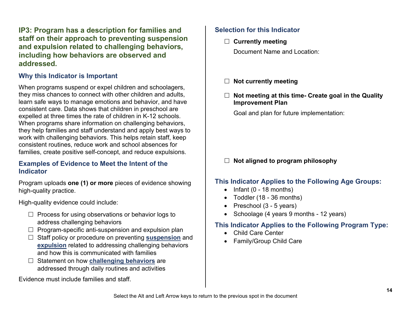**IP3: Program has a description for families and staff on their approach to preventing suspension and expulsion related to challenging behaviors, including how behaviors are observed and addressed.**

# **Why this Indicator is Important**

When programs suspend or expel children and schoolagers, they miss chances to connect with other children and adults, learn safe ways to manage emotions and behavior, and have consistent care. Data shows that children in preschool are expelled at three times the rate of children in K-12 schools. When programs share information on challenging behaviors, they help families and staff understand and apply best ways to work with challenging behaviors. This helps retain staff, keep consistent routines, reduce work and school absences for families, create positive self-concept, and reduce expulsions.

#### **Examples of Evidence to Meet the Intent of the Indicator**

Program uploads **one (1) or more** pieces of evidence showing high-quality practice.

High-quality evidence could include:

- $\Box$  Process for using observations or behavior logs to address challenging behaviors
- $\Box$  Program-specific anti-suspension and expulsion plan
- □ Staff policy or procedure on preventing **[suspension](#page-48-2)** and **[expulsion](#page-47-1)** related to addressing challenging behaviors and how this is communicated with families
- □ Statement on how **[challenging behaviors](#page-45-2)** are addressed through daily routines and activities

Evidence must include families and staff.

# **Selection for this Indicator**

**Currently meeting**

Document Name and Location:

- **Not currently meeting**
- **Not meeting at this time- Create goal in the Quality Improvement Plan**

Goal and plan for future implementation:

# **Not aligned to program philosophy**

### **This Indicator Applies to the Following Age Groups:**

- $\bullet$  Infant (0 18 months)
- Toddler (18 36 months)
- Preschool (3 5 years)
- Schoolage (4 years 9 months 12 years)

- Child Care Center
- Family/Group Child Care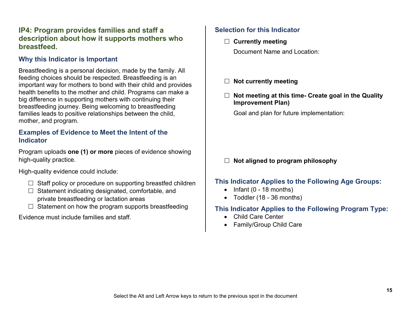# **IP4: Program provides families and staff a description about how it supports mothers who breastfeed.**

# **Why this Indicator is Important**

Breastfeeding is a personal decision, made by the family. All feeding choices should be respected. Breastfeeding is an important way for mothers to bond with their child and provides health benefits to the mother and child. Programs can make a big difference in supporting mothers with continuing their breastfeeding journey. Being welcoming to breastfeeding families leads to positive relationships between the child, mother, and program.

#### **Examples of Evidence to Meet the Intent of the Indicator**

Program uploads **one (1) or more** pieces of evidence showing high-quality practice.

High-quality evidence could include:

- $\Box$  Staff policy or procedure on supporting breastfed children
- $\Box$  Statement indicating designated, comfortable, and private breastfeeding or lactation areas
- $\Box$  Statement on how the program supports breastfeeding

Evidence must include families and staff.

# **Selection for this Indicator**

**Currently meeting**

Document Name and Location:

- **Not currently meeting**
- **Not meeting at this time- Create goal in the Quality Improvement Plan)**

Goal and plan for future implementation:

# **Not aligned to program philosophy**

### **This Indicator Applies to the Following Age Groups:**

- Infant (0 18 months)
- Toddler (18 36 months)

- Child Care Center
- Family/Group Child Care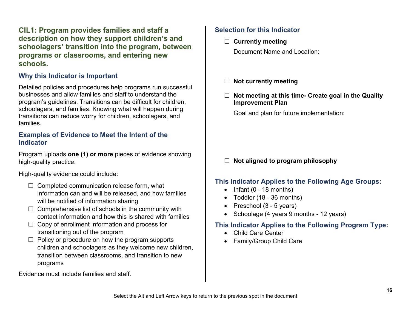**CIL1: Program provides families and staff a description on how they support children's and schoolagers' transition into the program, between programs or classrooms, and entering new schools.**

# **Why this Indicator is Important**

Detailed policies and procedures help programs run successful businesses and allow families and staff to understand the program's guidelines. Transitions can be difficult for children, schoolagers, and families. Knowing what will happen during transitions can reduce worry for children, schoolagers, and families.

#### **Examples of Evidence to Meet the Intent of the Indicator**

Program uploads **one (1) or more** pieces of evidence showing high-quality practice.

High-quality evidence could include:

- $\Box$  Completed communication release form, what information can and will be released, and how families will be notified of information sharing
- $\Box$  Comprehensive list of schools in the community with contact information and how this is shared with families
- $\Box$  Copy of enrollment information and process for transitioning out of the program
- $\Box$  Policy or procedure on how the program supports children and schoolagers as they welcome new children, transition between classrooms, and transition to new programs

Evidence must include families and staff.

#### **Selection for this Indicator**

**Currently meeting**

Document Name and Location:

- **Not currently meeting**
- **Not meeting at this time- Create goal in the Quality Improvement Plan**

Goal and plan for future implementation:

#### **Not aligned to program philosophy**

#### **This Indicator Applies to the Following Age Groups:**

- $\bullet$  Infant (0 18 months)
- Toddler (18 36 months)
- Preschool (3 5 years)
- Schoolage (4 years 9 months 12 years)

- Child Care Center
- Family/Group Child Care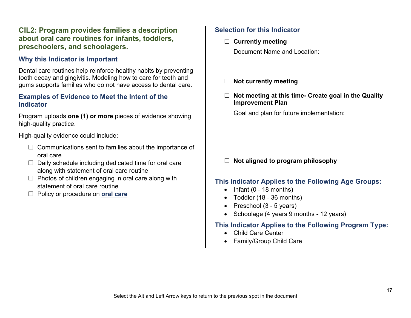# **CIL2: Program provides families a description about oral care routines for infants, toddlers, preschoolers, and schoolagers.**

### **Why this Indicator is Important**

Dental care routines help reinforce healthy habits by preventing tooth decay and gingivitis. Modeling how to care for teeth and gums supports families who do not have access to dental care.

#### **Examples of Evidence to Meet the Intent of the Indicator**

Program uploads **one (1) or more** pieces of evidence showing high-quality practice.

High-quality evidence could include:

- $\Box$  Communications sent to families about the importance of oral care
- $\Box$  Daily schedule including dedicated time for oral care along with statement of oral care routine
- $\Box$  Photos of children engaging in oral care along with statement of oral care routine
- □ Policy or procedure on **[oral care](#page-50-0)**

# **Selection for this Indicator**

**Currently meeting**

Document Name and Location:

- **Not currently meeting**
- **Not meeting at this time- Create goal in the Quality Improvement Plan**

Goal and plan for future implementation:

# **Not aligned to program philosophy**

# **This Indicator Applies to the Following Age Groups:**

- $\bullet$  Infant (0 18 months)
- Toddler (18 36 months)
- Preschool (3 5 years)
- Schoolage (4 years 9 months 12 years)

- Child Care Center
- Family/Group Child Care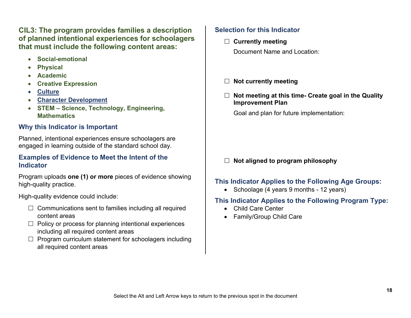**CIL3: The program provides families a description of planned intentional experiences for schoolagers that must include the following content areas:**

- **Social-emotional**
- **Physical**
- **Academic**
- **Creative Expression**
- **[Culture](#page-46-0)**
- **[Character Development](#page-45-3)**
- **STEM Science, Technology, Engineering, Mathematics**

# **Why this Indicator is Important**

Planned, intentional experiences ensure schoolagers are engaged in learning outside of the standard school day.

#### **Examples of Evidence to Meet the Intent of the Indicator**

Program uploads **one (1) or more** pieces of evidence showing high-quality practice.

High-quality evidence could include:

- $\Box$  Communications sent to families including all required content areas
- $\Box$  Policy or process for planning intentional experiences including all required content areas
- $\Box$  Program curriculum statement for schoolagers including all required content areas

# **Selection for this Indicator**

- **Currently meeting** Document Name and Location:
- **Not currently meeting**
- **Not meeting at this time- Create goal in the Quality Improvement Plan**

Goal and plan for future implementation:

# **Not aligned to program philosophy**

# **This Indicator Applies to the Following Age Groups:**

• Schoolage (4 years 9 months - 12 years)

- Child Care Center
- Family/Group Child Care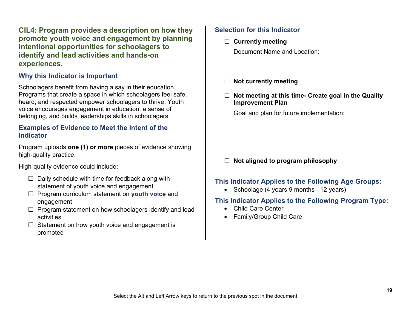**CIL4: Program provides a description on how they promote youth voice and engagement by planning intentional opportunities for schoolagers to identify and lead activities and hands-on experiences.**

### **Why this Indicator is Important**

Schoolagers benefit from having a say in their education. Programs that create a space in which schoolagers feel safe, heard, and respected empower schoolagers to thrive. Youth voice encourages engagement in education, a sense of belonging, and builds leaderships skills in schoolagers.

#### **Examples of Evidence to Meet the Intent of the Indicator**

Program uploads **one (1) or more** pieces of evidence showing high-quality practice.

High-quality evidence could include:

- $\Box$  Daily schedule with time for feedback along with statement of youth voice and engagement
- Program curriculum statement on **[youth voice](#page-48-3)** and engagement
- $\Box$  Program statement on how schoolagers identify and lead activities
- $\Box$  Statement on how youth voice and engagement is promoted

#### **Selection for this Indicator**

- **Currently meeting** Document Name and Location:
	-
- **Not currently meeting**
- **Not meeting at this time- Create goal in the Quality Improvement Plan**

Goal and plan for future implementation:

#### **Not aligned to program philosophy**

#### **This Indicator Applies to the Following Age Groups:**

• Schoolage (4 years 9 months - 12 years)

- Child Care Center
- Family/Group Child Care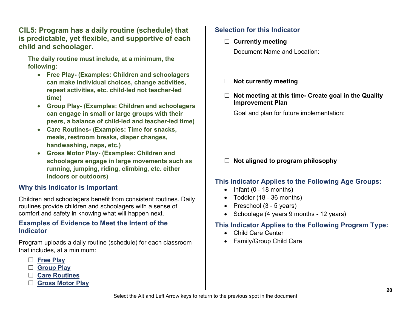**CIL5: Program has a daily routine (schedule) that is predictable, yet flexible, and supportive of each child and schoolager.**

**The daily routine must include, at a minimum, the following:** 

- **Free Play- (Examples: Children and schoolagers can make individual choices, change activities, repeat activities, etc. child-led not teacher-led time)**
- **Group Play- (Examples: Children and schoolagers can engage in small or large groups with their peers, a balance of child-led and teacher-led time)**
- **Care Routines- (Examples: Time for snacks, meals, restroom breaks, diaper changes, handwashing, naps, etc.)**
- **Gross Motor Play- (Examples: Children and schoolagers engage in large movements such as running, jumping, riding, climbing, etc. either indoors or outdoors)**

# **Why this Indicator is Important**

Children and schoolagers benefit from consistent routines. Daily routines provide children and schoolagers with a sense of comfort and safety in knowing what will happen next.

#### **Examples of Evidence to Meet the Intent of the Indicator**

Program uploads a daily routine (schedule) for each classroom that includes, at a minimum:

- **[Free Play](#page-47-2)**
- **[Group Play](#page-47-3)**
- **[Care Routines](#page-45-4)**
- **[Gross Motor Play](#page-47-4)**

# **Selection for this Indicator**

- **Currently meeting** Document Name and Location:
- **Not currently meeting**
- **Not meeting at this time- Create goal in the Quality Improvement Plan**

Goal and plan for future implementation:

# **Not aligned to program philosophy**

### **This Indicator Applies to the Following Age Groups:**

- $\bullet$  Infant (0 18 months)
- Toddler (18 36 months)
- Preschool (3 5 years)
- Schoolage (4 years 9 months 12 years)

- Child Care Center
- Family/Group Child Care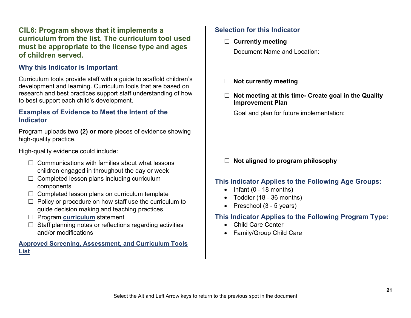# **CIL6: Program shows that it implements a curriculum from the list. The curriculum tool used must be appropriate to the license type and ages of children served.**

#### **Why this Indicator is Important**

Curriculum tools provide staff with a guide to scaffold children's development and learning. Curriculum tools that are based on research and best practices support staff understanding of how to best support each child's development.

#### **Examples of Evidence to Meet the Intent of the Indicator**

Program uploads **two (2) or more** pieces of evidence showing high-quality practice.

High-quality evidence could include:

- $\Box$  Communications with families about what lessons children engaged in throughout the day or week
- $\Box$  Completed lesson plans including curriculum components
- $\Box$  Completed lesson plans on curriculum template
- $\Box$  Policy or procedure on how staff use the curriculum to guide decision making and teaching practices
- □ Program **[curriculum](#page-46-1)** statement
- $\Box$  Staff planning notes or reflections regarding activities and/or modifications

#### **[Approved Screening, Assessment, and Curriculum Tools](https://greatstarttoquality.org/wp-content/uploads/2022/03/Approved-Screening-Assessment-and-Curriculum-Tools_List_3.2022-1-1.pdf)  [List](https://greatstarttoquality.org/wp-content/uploads/2022/03/Approved-Screening-Assessment-and-Curriculum-Tools_List_3.2022-1-1.pdf)**

# **Selection for this Indicator**

**Currently meeting**

Document Name and Location:

- **Not currently meeting**
- **Not meeting at this time- Create goal in the Quality Improvement Plan**

Goal and plan for future implementation:

### **Not aligned to program philosophy**

#### **This Indicator Applies to the Following Age Groups:**

- $\bullet$  Infant (0 18 months)
- Toddler (18 36 months)
- Preschool (3 5 years)

- Child Care Center
- Family/Group Child Care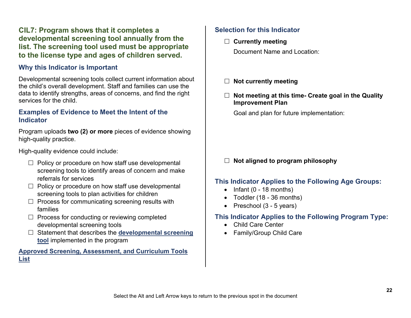# **CIL7: Program shows that it completes a developmental screening tool annually from the list. The screening tool used must be appropriate to the license type and ages of children served.**

#### **Why this Indicator is Important**

Developmental screening tools collect current information about the child's overall development. Staff and families can use the data to identify strengths, areas of concerns, and find the right services for the child.

#### **Examples of Evidence to Meet the Intent of the Indicator**

Program uploads **two (2) or more** pieces of evidence showing high-quality practice.

High-quality evidence could include:

- $\Box$  Policy or procedure on how staff use developmental screening tools to identify areas of concern and make referrals for services
- $\Box$  Policy or procedure on how staff use developmental screening tools to plan activities for children
- $\Box$  Process for communicating screening results with families
- $\Box$  Process for conducting or reviewing completed developmental screening tools
- □ Statement that describes the **developmental screening [tool](#page-46-2)** implemented in the program

#### **[Approved Screening, Assessment, and Curriculum Tools](https://greatstarttoquality.org/wp-content/uploads/2022/03/Approved-Screening-Assessment-and-Curriculum-Tools_List_3.2022-1-1.pdf)  [List](https://greatstarttoquality.org/wp-content/uploads/2022/03/Approved-Screening-Assessment-and-Curriculum-Tools_List_3.2022-1-1.pdf)**

# **Selection for this Indicator**

**Currently meeting**

Document Name and Location:

- **Not currently meeting**
- **Not meeting at this time- Create goal in the Quality Improvement Plan**

Goal and plan for future implementation:

#### **Not aligned to program philosophy**

#### **This Indicator Applies to the Following Age Groups:**

- $\bullet$  Infant (0 18 months)
- Toddler (18 36 months)
- Preschool (3 5 years)

- Child Care Center
- Family/Group Child Care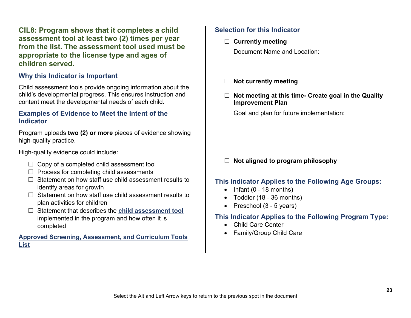**CIL8: Program shows that it completes a child assessment tool at least two (2) times per year from the list. The assessment tool used must be appropriate to the license type and ages of children served.**

#### **Why this Indicator is Important**

Child assessment tools provide ongoing information about the child's developmental progress. This ensures instruction and content meet the developmental needs of each child.

#### **Examples of Evidence to Meet the Intent of the Indicator**

Program uploads **two (2) or more** pieces of evidence showing high-quality practice.

High-quality evidence could include:

- $\Box$  Copy of a completed child assessment tool
- $\Box$  Process for completing child assessments
- $\Box$  Statement on how staff use child assessment results to identify areas for growth
- $\Box$  Statement on how staff use child assessment results to plan activities for children
- Statement that describes the **[child assessment tool](#page-45-5)** implemented in the program and how often it is completed

#### **[Approved Screening, Assessment, and Curriculum Tools](https://greatstarttoquality.org/wp-content/uploads/2022/03/Approved-Screening-Assessment-and-Curriculum-Tools_List_3.2022-1-1.pdf)  [List](https://greatstarttoquality.org/wp-content/uploads/2022/03/Approved-Screening-Assessment-and-Curriculum-Tools_List_3.2022-1-1.pdf)**

#### **Selection for this Indicator**

- **Currently meeting**
	- Document Name and Location:
- **Not currently meeting**
- **Not meeting at this time- Create goal in the Quality Improvement Plan**

Goal and plan for future implementation:

# **Not aligned to program philosophy**

#### **This Indicator Applies to the Following Age Groups:**

- $\bullet$  Infant (0 18 months)
- Toddler (18 36 months)
- Preschool (3 5 years)

- Child Care Center
- Family/Group Child Care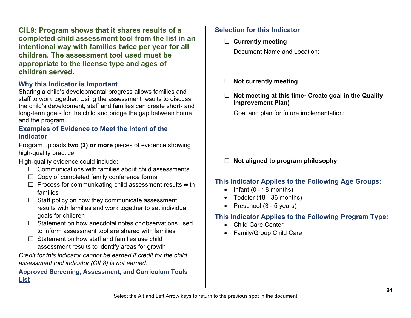**CIL9: Program shows that it shares results of a completed child assessment tool from the list in an intentional way with families twice per year for all children. The assessment tool used must be appropriate to the license type and ages of children served.**

### **Why this Indicator is Important**

Sharing a child's developmental progress allows families and staff to work together. Using the assessment results to discuss the child's development, staff and families can create short- and long-term goals for the child and bridge the gap between home and the program.

#### **Examples of Evidence to Meet the Intent of the Indicator**

Program uploads **two (2) or more** pieces of evidence showing high-quality practice.

High-quality evidence could include:

- $\Box$  Communications with families about child assessments
- $\Box$  Copy of completed family conference forms
- $\Box$  Process for communicating child assessment results with families
- $\Box$  Staff policy on how they communicate assessment results with families and work together to set individual goals for children
- $\Box$  Statement on how anecdotal notes or observations used to inform assessment tool are shared with families
- $\Box$  Statement on how staff and families use child assessment results to identify areas for growth

*Credit for this indicator cannot be earned if credit for the child assessment tool indicator (CIL8) is not earned.*

#### **[Approved Screening, Assessment, and Curriculum Tools](https://greatstarttoquality.org/wp-content/uploads/2022/03/Approved-Screening-Assessment-and-Curriculum-Tools_List_3.2022-1-1.pdf)  [List](https://greatstarttoquality.org/wp-content/uploads/2022/03/Approved-Screening-Assessment-and-Curriculum-Tools_List_3.2022-1-1.pdf)**

# **Selection for this Indicator**

**Currently meeting**

Document Name and Location:

- **Not currently meeting**
- **Not meeting at this time- Create goal in the Quality Improvement Plan)**

Goal and plan for future implementation:

# **Not aligned to program philosophy**

### **This Indicator Applies to the Following Age Groups:**

- $\bullet$  Infant (0 18 months)
- Toddler (18 36 months)
- Preschool (3 5 years)

- Child Care Center
- Family/Group Child Care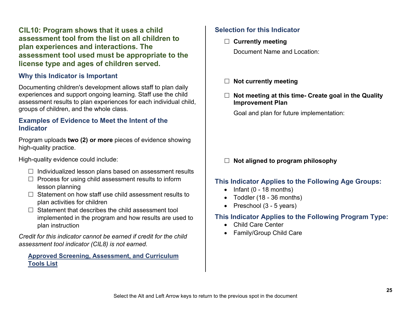**CIL10: Program shows that it uses a child assessment tool from the list on all children to plan experiences and interactions. The assessment tool used must be appropriate to the license type and ages of children served.**

# **Why this Indicator is Important**

Documenting children's development allows staff to plan daily experiences and support ongoing learning. Staff use the child assessment results to plan experiences for each individual child, groups of children, and the whole class.

#### **Examples of Evidence to Meet the Intent of the Indicator**

Program uploads **two (2) or more** pieces of evidence showing high-quality practice.

High-quality evidence could include:

- $\Box$  Individualized lesson plans based on assessment results
- $\Box$  Process for using child assessment results to inform lesson planning
- $\Box$  Statement on how staff use child assessment results to plan activities for children
- $\Box$  Statement that describes the child assessment tool implemented in the program and how results are used to plan instruction

*Credit for this indicator cannot be earned if credit for the child assessment tool indicator (CIL8) is not earned.*

#### **[Approved Screening, Assessment, and Curriculum](https://greatstarttoquality.org/wp-content/uploads/2022/03/Approved-Screening-Assessment-and-Curriculum-Tools_List_3.2022-1-1.pdf)  [Tools List](https://greatstarttoquality.org/wp-content/uploads/2022/03/Approved-Screening-Assessment-and-Curriculum-Tools_List_3.2022-1-1.pdf)**

# **Selection for this Indicator**

**Currently meeting**

Document Name and Location:

- **Not currently meeting**
- **Not meeting at this time- Create goal in the Quality Improvement Plan**

Goal and plan for future implementation:

### **Not aligned to program philosophy**

#### **This Indicator Applies to the Following Age Groups:**

- $\bullet$  Infant (0 18 months)
- Toddler (18 36 months)
- Preschool (3 5 years)

- Child Care Center
- Family/Group Child Care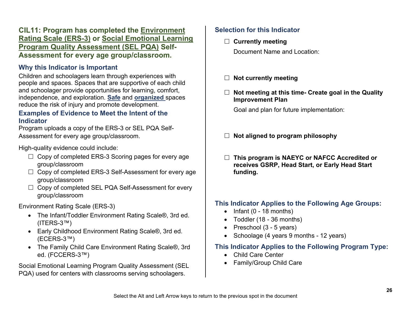# **CIL11: Program has completed the [Environment](#page-48-4)  [Rating Scale \(ERS-3\)](#page-48-4) or [Social Emotional Learning](#page-50-1)  [Program Quality Assessment \(SEL PQA\)](#page-50-1) Self-Assessment for every age group/classroom.**

# **Why this Indicator is Important**

Children and schoolagers learn through experiences with people and spaces. Spaces that are supportive of each child and schoolager provide opportunities for learning, comfort, independence, and exploration. **[Safe](#page-48-1)** and **[organized](#page-48-5)** spaces reduce the risk of injury and promote development.

#### **Examples of Evidence to Meet the Intent of the Indicator**

Program uploads a copy of the ERS-3 or SEL PQA Self-Assessment for every age group/classroom.

High-quality evidence could include:

- $\Box$  Copy of completed ERS-3 Scoring pages for every age group/classroom
- $\Box$  Copy of completed ERS-3 Self-Assessment for every age group/classroom
- $\Box$  Copy of completed SEL PQA Self-Assessment for every group/classroom

Environment Rating Scale (ERS-3)

- The Infant/Toddler Environment Rating Scale®, 3rd ed. (ITERS-3™)
- Early Childhood Environment Rating Scale®, 3rd ed. (ECERS-3™)
- The Family Child Care Environment Rating Scale®, 3rd ed. (FCCERS-3™)

Social Emotional Learning Program Quality Assessment (SEL PQA) used for centers with classrooms serving schoolagers.

# **Selection for this Indicator**

**Currently meeting**

Document Name and Location:

- **Not currently meeting**
- **Not meeting at this time- Create goal in the Quality Improvement Plan**

Goal and plan for future implementation:

- **Not aligned to program philosophy**
- **This program is NAEYC or NAFCC Accredited or receives GSRP, Head Start, or Early Head Start funding.**

### **This Indicator Applies to the Following Age Groups:**

- $\bullet$  Infant (0 18 months)
- Toddler (18 36 months)
- Preschool (3 5 years)
- Schoolage (4 years 9 months 12 years)

- Child Care Center
- Family/Group Child Care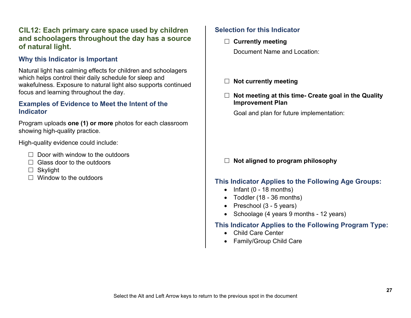# **CIL12: Each primary care space used by children and schoolagers throughout the day has a source of natural light.**

# **Why this Indicator is Important**

Natural light has calming effects for children and schoolagers which helps control their daily schedule for sleep and wakefulness. Exposure to natural light also supports continued focus and learning throughout the day.

#### **Examples of Evidence to Meet the Intent of the Indicator**

Program uploads **one (1) or more** photos for each classroom showing high-quality practice.

High-quality evidence could include:

- $\Box$  Door with window to the outdoors
- $\Box$  Glass door to the outdoors
- $\Box$  Skylight
- $\Box$  Window to the outdoors

# **Selection for this Indicator**

- **Currently meeting** Document Name and Location:
- **Not currently meeting**
- **Not meeting at this time- Create goal in the Quality Improvement Plan**

Goal and plan for future implementation:

#### **Not aligned to program philosophy**

#### **This Indicator Applies to the Following Age Groups:**

- $\bullet$  Infant (0 18 months)
- Toddler (18 36 months)
- Preschool (3 5 years)
- Schoolage (4 years 9 months 12 years)

- Child Care Center
- Family/Group Child Care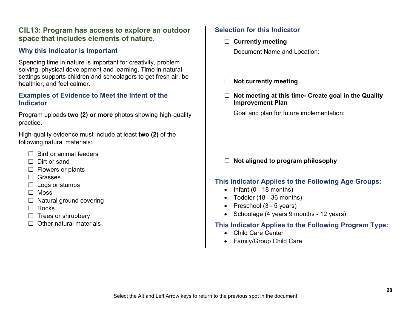### **CIL13: Program has access to explore an outdoor space that includes elements of nature.**

# **Why this Indicator is Important**

Spending time in nature is important for creativity, problem solving, physical development and learning. Time in natural settings supports children and schoolagers to get fresh air, be healthier, and feel calmer.

#### **Examples of Evidence to Meet the Intent of the Indicator**

Program uploads **two (2) or more** photos showing high-quality practice.

High-quality evidence must include at least **two (2)** of the following natural materials:

- $\Box$  Bird or animal feeders
- $\Box$  Dirt or sand
- $\Box$  Flowers or plants
- Grasses
- $\Box$  Logs or stumps
- $\Box$  Moss
- $\Box$  Natural ground covering
- $\Box$  Rocks
- $\Box$  Trees or shrubbery
- $\Box$  Other natural materials

# **Selection for this Indicator**

- **Currently meeting** Document Name and Location:
- **Not currently meeting**
- **Not meeting at this time- Create goal in the Quality Improvement Plan**

Goal and plan for future implementation:

# **Not aligned to program philosophy**

### **This Indicator Applies to the Following Age Groups:**

- $\bullet$  Infant (0 18 months)
- Toddler (18 36 months)
- Preschool (3 5 years)
- Schoolage (4 years 9 months 12 years)

- Child Care Center
- Family/Group Child Care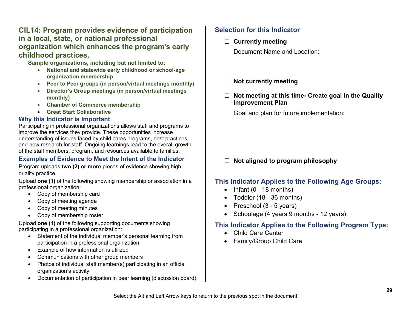# **CIL14: Program provides evidence of participation in a local, state, or national professional organization which enhances the program's early childhood practices.**

**Sample organizations, including but not limited to:** 

- **National and statewide early childhood or school-age organization membership**
- **Peer to Peer groups (in person/virtual meetings monthly)**
- **Director's Group meetings (in person/virtual meetings monthly)**
- **Chamber of Commerce membership**
- **Great Start Collaborative**

#### **Why this Indicator is Important**

Participating in professional organizations allows staff and programs to improve the services they provide. These opportunities increase understanding of issues faced by child cares programs, best practices, and new research for staff. Ongoing learnings lead to the overall growth of the staff members, program, and resources available to families.

#### **Examples of Evidence to Meet the Intent of the Indicator**

Program uploads **two (2) or more** pieces of evidence showing highquality practice.

Upload **one (1)** of the following showing membership or association in a professional organization:

- Copy of membership card
- Copy of meeting agenda
- Copy of meeting minutes
- Copy of membership roster

Upload **one (1)** of the following supporting documents showing participating in a professional organization:

- Statement of the individual member's personal learning from participation in a professional organization
- Example of how information is utilized
- Communications with other group members
- Photos of individual staff member(s) participating in an official organization's activity
- Documentation of participation in peer learning (discussion board)

# **Selection for this Indicator**

**Currently meeting**

Document Name and Location:

- **Not currently meeting**
- **Not meeting at this time- Create goal in the Quality Improvement Plan**

Goal and plan for future implementation:

# **Not aligned to program philosophy**

# **This Indicator Applies to the Following Age Groups:**

- $\bullet$  Infant (0 18 months)
- Toddler (18 36 months)
- Preschool (3 5 years)
- Schoolage (4 years 9 months 12 years)

- Child Care Center
- Family/Group Child Care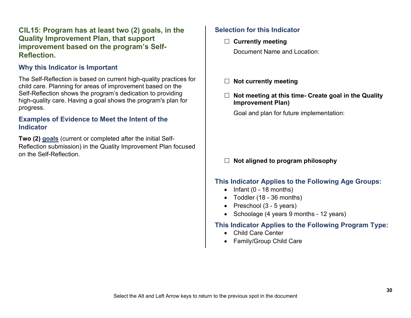**CIL15: Program has at least two (2) goals, in the Quality Improvement Plan, that support improvement based on the program's Self-Reflection.**

#### **Why this Indicator is Important**

The Self-Reflection is based on current high-quality practices for child care. Planning for areas of improvement based on the Self-Reflection shows the program's dedication to providing high-quality care. Having a goal shows the program's plan for progress.

#### **Examples of Evidence to Meet the Intent of the Indicator**

**Two (2) [goals](#page-47-0)** (current or completed after the initial Self-Reflection submission) in the Quality Improvement Plan focused on the Self-Reflection.

#### **Selection for this Indicator**

**Currently meeting**

Document Name and Location:

- **Not currently meeting**
- **Not meeting at this time- Create goal in the Quality Improvement Plan)**

Goal and plan for future implementation:

#### **Not aligned to program philosophy**

#### **This Indicator Applies to the Following Age Groups:**

- $\bullet$  Infant (0 18 months)
- Toddler (18 36 months)
- Preschool (3 5 years)
- Schoolage (4 years 9 months 12 years)

- Child Care Center
- Family/Group Child Care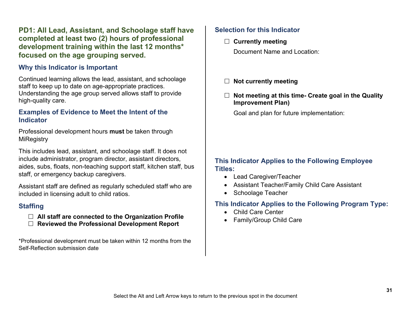# **PD1: All Lead, Assistant, and Schoolage staff have completed at least two (2) hours of professional development training within the last 12 months\* focused on the age grouping served.**

#### **Why this Indicator is Important**

Continued learning allows the lead, assistant, and schoolage staff to keep up to date on age-appropriate practices. Understanding the age group served allows staff to provide high-quality care.

#### **Examples of Evidence to Meet the Intent of the Indicator**

Professional development hours **must** be taken through **MiRegistry** 

This includes lead, assistant, and schoolage staff. It does not include administrator, program director, assistant directors, aides, subs, floats, non-teaching support staff, kitchen staff, bus staff, or emergency backup caregivers.

Assistant staff are defined as regularly scheduled staff who are included in licensing adult to child ratios.

#### **Staffing**

- **All staff are connected to the Organization Profile**
- **Reviewed the Professional Development Report**

\*Professional development must be taken within 12 months from the Self-Reflection submission date

# **Selection for this Indicator**

**Currently meeting**

Document Name and Location:

- **Not currently meeting**
- **Not meeting at this time- Create goal in the Quality Improvement Plan)**

Goal and plan for future implementation:

#### **This Indicator Applies to the Following Employee Titles:**

- Lead Caregiver/Teacher
- Assistant Teacher/Family Child Care Assistant
- Schoolage Teacher

- Child Care Center
- Family/Group Child Care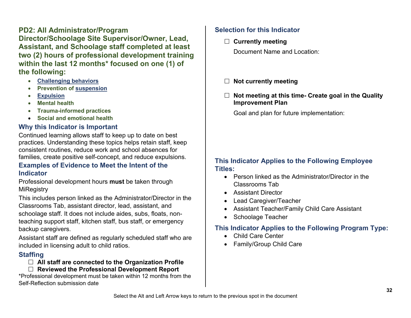**PD2: All Administrator/Program Director/Schoolage Site Supervisor/Owner, Lead, Assistant, and Schoolage staff completed at least two (2) hours of professional development training within the last 12 months\* focused on one (1) of the following:**

- **[Challenging behaviors](#page-45-2)**
- **Prevention of [suspension](#page-48-2)**
- **[Expulsion](#page-47-1)**
- **Mental health**
- **Trauma-informed practices**
- **Social and emotional health**

# **Why this Indicator is Important**

Continued learning allows staff to keep up to date on best practices. Understanding these topics helps retain staff, keep consistent routines, reduce work and school absences for families, create positive self-concept, and reduce expulsions.

#### **Examples of Evidence to Meet the Intent of the Indicator**

Professional development hours **must** be taken through MiRegistry

This includes person linked as the Administrator/Director in the Classrooms Tab, assistant director, lead, assistant, and schoolage staff. It does not include aides, subs, floats, nonteaching support staff, kitchen staff, bus staff, or emergency backup caregivers.

Assistant staff are defined as regularly scheduled staff who are included in licensing adult to child ratios.

# **Staffing**

#### **All staff are connected to the Organization Profile**

**Reviewed the Professional Development Report**

\*Professional development must be taken within 12 months from the Self-Reflection submission date

# **Selection for this Indicator**

**Currently meeting**

Document Name and Location:

- **Not currently meeting**
- **Not meeting at this time- Create goal in the Quality Improvement Plan**

Goal and plan for future implementation:

### **This Indicator Applies to the Following Employee Titles:**

- Person linked as the Administrator/Director in the Classrooms Tab
- Assistant Director
- Lead Caregiver/Teacher
- Assistant Teacher/Family Child Care Assistant
- Schoolage Teacher

- Child Care Center
- Family/Group Child Care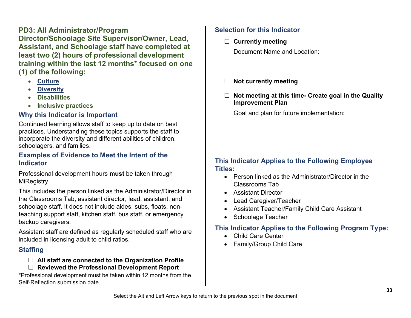# **PD3: All Administrator/Program Director/Schoolage Site Supervisor/Owner, Lead, Assistant, and Schoolage staff have completed at least two (2) hours of professional development training within the last 12 months\* focused on one (1) of the following:**

- **[Culture](#page-46-0)**
- **[Diversity](#page-47-5)**
- **Disabilities**
- **Inclusive practices**

# **Why this Indicator is Important**

Continued learning allows staff to keep up to date on best practices. Understanding these topics supports the staff to incorporate the diversity and different abilities of children, schoolagers, and families.

### **Examples of Evidence to Meet the Intent of the Indicator**

Professional development hours **must** be taken through MiRegistry

This includes the person linked as the Administrator/Director in the Classrooms Tab, assistant director, lead, assistant, and schoolage staff. It does not include aides, subs, floats, nonteaching support staff, kitchen staff, bus staff, or emergency backup caregivers.

Assistant staff are defined as regularly scheduled staff who are included in licensing adult to child ratios.

# **Staffing**

#### **All staff are connected to the Organization Profile Reviewed the Professional Development Report**

\*Professional development must be taken within 12 months from the Self-Reflection submission date

# **Selection for this Indicator**

**Currently meeting**

Document Name and Location:

- **Not currently meeting**
- **Not meeting at this time- Create goal in the Quality Improvement Plan**

Goal and plan for future implementation:

### **This Indicator Applies to the Following Employee Titles:**

- Person linked as the Administrator/Director in the Classrooms Tab
- Assistant Director
- Lead Caregiver/Teacher
- Assistant Teacher/Family Child Care Assistant
- Schoolage Teacher

- Child Care Center
- Family/Group Child Care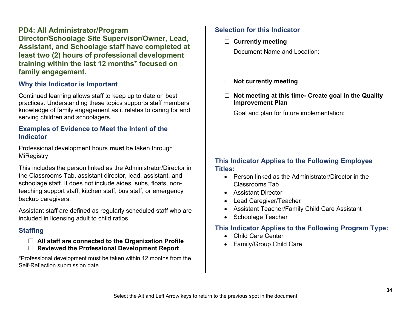# **PD4: All Administrator/Program Director/Schoolage Site Supervisor/Owner, Lead, Assistant, and Schoolage staff have completed at least two (2) hours of professional development training within the last 12 months\* focused on family engagement.**

#### **Why this Indicator is Important**

Continued learning allows staff to keep up to date on best practices. Understanding these topics supports staff members' knowledge of family engagement as it relates to caring for and serving children and schoolagers.

#### **Examples of Evidence to Meet the Intent of the Indicator**

Professional development hours **must** be taken through **MiRegistry** 

This includes the person linked as the Administrator/Director in the Classrooms Tab, assistant director, lead, assistant, and schoolage staff. It does not include aides, subs, floats, nonteaching support staff, kitchen staff, bus staff, or emergency backup caregivers.

Assistant staff are defined as regularly scheduled staff who are included in licensing adult to child ratios.

# **Staffing**

#### **All staff are connected to the Organization Profile Reviewed the Professional Development Report**

\*Professional development must be taken within 12 months from the Self-Reflection submission date

# **Selection for this Indicator**

**Currently meeting**

Document Name and Location:

- **Not currently meeting**
- **Not meeting at this time- Create goal in the Quality Improvement Plan**

Goal and plan for future implementation:

#### **This Indicator Applies to the Following Employee Titles:**

- Person linked as the Administrator/Director in the Classrooms Tab
- Assistant Director
- Lead Caregiver/Teacher
- Assistant Teacher/Family Child Care Assistant
- Schoolage Teacher

- Child Care Center
- Family/Group Child Care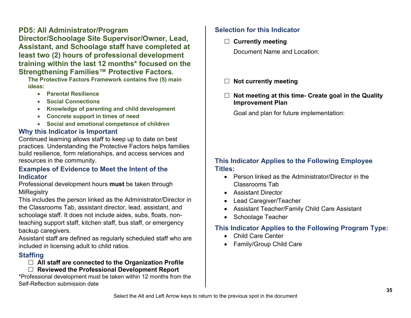**PD5: All Administrator/Program Director/Schoolage Site Supervisor/Owner, Lead, Assistant, and Schoolage staff have completed at least two (2) hours of professional development training within the last 12 months\* focused on the Strengthening Families™ Protective Factors.**

**The Protective Factors Framework contains five (5) main ideas:** 

- **Parental Resilience**
- **Social Connections**
- **Knowledge of parenting and child development**
- **Concrete support in times of need**
- **Social and emotional competence of children**

# **Why this Indicator is Important**

Continued learning allows staff to keep up to date on best practices. Understanding the Protective Factors helps families build resilience, form relationships, and access services and resources in the community.

### **Examples of Evidence to Meet the Intent of the Indicator**

Professional development hours **must** be taken through **MiRegistry** 

This includes the person linked as the Administrator/Director in the Classrooms Tab, assistant director, lead, assistant, and schoolage staff. It does not include aides, subs, floats, nonteaching support staff, kitchen staff, bus staff, or emergency backup caregivers.

Assistant staff are defined as regularly scheduled staff who are included in licensing adult to child ratios.

# **Staffing**

### **All staff are connected to the Organization Profile**

**Reviewed the Professional Development Report**

\*Professional development must be taken within 12 months from the Self-Reflection submission date

# **Selection for this Indicator**

**Currently meeting**

Document Name and Location:

- **Not currently meeting**
- **Not meeting at this time- Create goal in the Quality Improvement Plan**

Goal and plan for future implementation:

# **This Indicator Applies to the Following Employee Titles:**

- Person linked as the Administrator/Director in the Classrooms Tab
- Assistant Director
- Lead Caregiver/Teacher
- Assistant Teacher/Family Child Care Assistant
- Schoolage Teacher

- Child Care Center
- Family/Group Child Care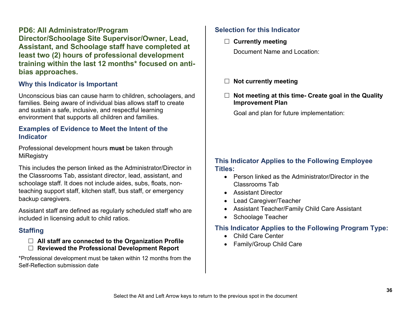# **PD6: All Administrator/Program Director/Schoolage Site Supervisor/Owner, Lead, Assistant, and Schoolage staff have completed at least two (2) hours of professional development training within the last 12 months\* focused on antibias approaches.**

#### **Why this Indicator is Important**

Unconscious bias can cause harm to children, schoolagers, and families. Being aware of individual bias allows staff to create and sustain a safe, inclusive, and respectful learning environment that supports all children and families.

#### **Examples of Evidence to Meet the Intent of the Indicator**

Professional development hours **must** be taken through **MiRegistry** 

This includes the person linked as the Administrator/Director in the Classrooms Tab, assistant director, lead, assistant, and schoolage staff. It does not include aides, subs, floats, nonteaching support staff, kitchen staff, bus staff, or emergency backup caregivers.

Assistant staff are defined as regularly scheduled staff who are included in licensing adult to child ratios.

# **Staffing**

#### **All staff are connected to the Organization Profile Reviewed the Professional Development Report**

\*Professional development must be taken within 12 months from the Self-Reflection submission date

# **Selection for this Indicator**

**Currently meeting**

Document Name and Location:

- **Not currently meeting**
- **Not meeting at this time- Create goal in the Quality Improvement Plan**

Goal and plan for future implementation:

#### **This Indicator Applies to the Following Employee Titles:**

- Person linked as the Administrator/Director in the Classrooms Tab
- Assistant Director
- Lead Caregiver/Teacher
- Assistant Teacher/Family Child Care Assistant
- Schoolage Teacher

- Child Care Center
- Family/Group Child Care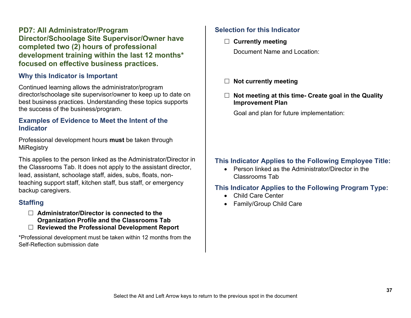**PD7: All Administrator/Program Director/Schoolage Site Supervisor/Owner have completed two (2) hours of professional development training within the last 12 months\* focused on effective business practices.**

#### **Why this Indicator is Important**

Continued learning allows the administrator/program director/schoolage site supervisor/owner to keep up to date on best business practices. Understanding these topics supports the success of the business/program.

#### **Examples of Evidence to Meet the Intent of the Indicator**

Professional development hours **must** be taken through **MiRegistry** 

This applies to the person linked as the Administrator/Director in the Classrooms Tab. It does not apply to the assistant director, lead, assistant, schoolage staff, aides, subs, floats, nonteaching support staff, kitchen staff, bus staff, or emergency backup caregivers.

### **Staffing**

 **Administrator/Director is connected to the Organization Profile and the Classrooms Tab Reviewed the Professional Development Report**

\*Professional development must be taken within 12 months from the Self-Reflection submission date

# **Selection for this Indicator**

**Currently meeting**

Document Name and Location:

- **Not currently meeting**
- **Not meeting at this time- Create goal in the Quality Improvement Plan**

Goal and plan for future implementation:

# **This Indicator Applies to the Following Employee Title:**

• Person linked as the Administrator/Director in the Classrooms Tab

- Child Care Center
- Family/Group Child Care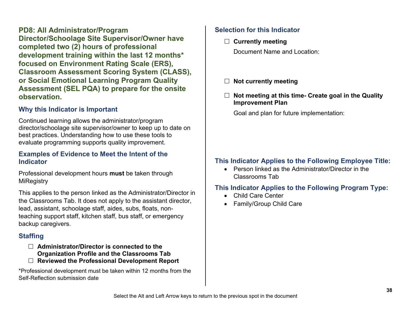**PD8: All Administrator/Program Director/Schoolage Site Supervisor/Owner have completed two (2) hours of professional development training within the last 12 months\* focused on Environment Rating Scale (ERS), Classroom Assessment Scoring System (CLASS), or Social Emotional Learning Program Quality Assessment (SEL PQA) to prepare for the onsite observation.**

# **Why this Indicator is Important**

Continued learning allows the administrator/program director/schoolage site supervisor/owner to keep up to date on best practices. Understanding how to use these tools to evaluate programming supports quality improvement.

#### **Examples of Evidence to Meet the Intent of the Indicator**

Professional development hours **must** be taken through **MiRegistry** 

This applies to the person linked as the Administrator/Director in the Classrooms Tab. It does not apply to the assistant director, lead, assistant, schoolage staff, aides, subs, floats, nonteaching support staff, kitchen staff, bus staff, or emergency backup caregivers.

# **Staffing**

- **Administrator/Director is connected to the Organization Profile and the Classrooms Tab**
- **Reviewed the Professional Development Report**

\*Professional development must be taken within 12 months from the Self-Reflection submission date

# **Selection for this Indicator**

**Currently meeting**

Document Name and Location:

- **Not currently meeting**
- **Not meeting at this time- Create goal in the Quality Improvement Plan**

Goal and plan for future implementation:

# **This Indicator Applies to the Following Employee Title:**

• Person linked as the Administrator/Director in the Classrooms Tab

- Child Care Center
- Family/Group Child Care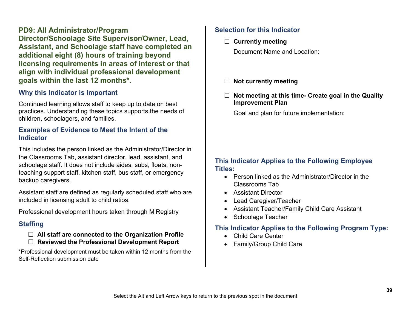**PD9: All Administrator/Program Director/Schoolage Site Supervisor/Owner, Lead, Assistant, and Schoolage staff have completed an additional eight (8) hours of training beyond licensing requirements in areas of interest or that align with individual professional development goals within the last 12 months\*.** 

#### **Why this Indicator is Important**

Continued learning allows staff to keep up to date on best practices. Understanding these topics supports the needs of children, schoolagers, and families.

#### **Examples of Evidence to Meet the Intent of the Indicator**

This includes the person linked as the Administrator/Director in the Classrooms Tab, assistant director, lead, assistant, and schoolage staff. It does not include aides, subs, floats, nonteaching support staff, kitchen staff, bus staff, or emergency backup caregivers.

Assistant staff are defined as regularly scheduled staff who are included in licensing adult to child ratios.

Professional development hours taken through MiRegistry

### **Staffing**

- **All staff are connected to the Organization Profile**
- **Reviewed the Professional Development Report**

\*Professional development must be taken within 12 months from the Self-Reflection submission date

#### **Selection for this Indicator**

**Currently meeting**

Document Name and Location:

- **Not currently meeting**
- **Not meeting at this time- Create goal in the Quality Improvement Plan**

Goal and plan for future implementation:

#### **This Indicator Applies to the Following Employee Titles:**

- Person linked as the Administrator/Director in the Classrooms Tab
- Assistant Director
- Lead Caregiver/Teacher
- Assistant Teacher/Family Child Care Assistant
- Schoolage Teacher

- Child Care Center
- Family/Group Child Care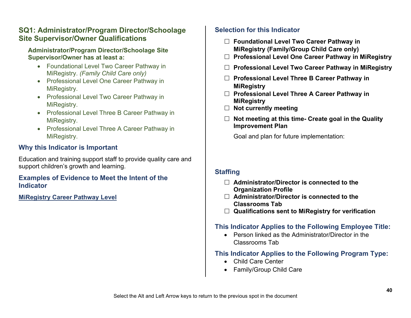# **SQ1: Administrator/Program Director/Schoolage Site Supervisor/Owner Qualifications**

#### **Administrator/Program Director/Schoolage Site Supervisor/Owner has at least a:**

- Foundational Level Two Career Pathway in MiRegistry. *(Family Child Care only)*
- Professional Level One Career Pathway in MiRegistry.
- Professional Level Two Career Pathway in MiRegistry.
- Professional Level Three B Career Pathway in MiRegistry.
- Professional Level Three A Career Pathway in MiRegistry.

# **Why this Indicator is Important**

Education and training support staff to provide quality care and support children's growth and learning.

### **Examples of Evidence to Meet the Intent of the Indicator**

**[MiRegistry Career Pathway Level](#page-49-1)**

# **Selection for this Indicator**

- **Foundational Level Two Career Pathway in MiRegistry (Family/Group Child Care only)**
- **Professional Level One Career Pathway in MiRegistry**
- **Professional Level Two Career Pathway in MiRegistry**
- **Professional Level Three B Career Pathway in MiRegistry**
- **Professional Level Three A Career Pathway in MiRegistry**
- **Not currently meeting**
- **Not meeting at this time- Create goal in the Quality Improvement Plan**

Goal and plan for future implementation:

# **Staffing**

- **Administrator/Director is connected to the Organization Profile**
- **Administrator/Director is connected to the Classrooms Tab**
- **Qualifications sent to MiRegistry for verification**

# **This Indicator Applies to the Following Employee Title:**

• Person linked as the Administrator/Director in the Classrooms Tab

- Child Care Center
- Family/Group Child Care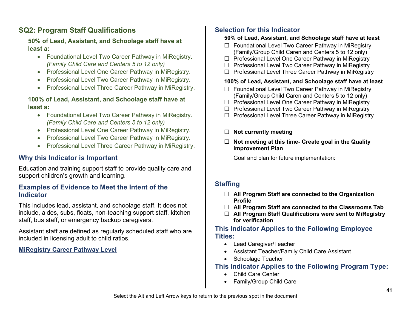# **SQ2: Program Staff Qualifications**

#### **50% of Lead, Assistant, and Schoolage staff have at least a:**

- Foundational Level Two Career Pathway in MiRegistry. *(Family Child Care and Centers 5 to 12 only)*
- Professional Level One Career Pathway in MiRegistry.
- Professional Level Two Career Pathway in MiRegistry.
- Professional Level Three Career Pathway in MiRegistry.

#### **100% of Lead, Assistant, and Schoolage staff have at least a:**

- Foundational Level Two Career Pathway in MiRegistry. *(Family Child Care and Centers 5 to 12 only)*
- Professional Level One Career Pathway in MiRegistry.
- Professional Level Two Career Pathway in MiRegistry.
- Professional Level Three Career Pathway in MiRegistry.

# **Why this Indicator is Important**

Education and training support staff to provide quality care and support children's growth and learning.

#### **Examples of Evidence to Meet the Intent of the Indicator**

This includes lead, assistant, and schoolage staff. It does not include, aides, subs, floats, non-teaching support staff, kitchen staff, bus staff, or emergency backup caregivers.

Assistant staff are defined as regularly scheduled staff who are included in licensing adult to child ratios.

#### **[MiRegistry Career Pathway Level](#page-49-1)**

# **Selection for this Indicator**

#### **50% of Lead, Assistant, and Schoolage staff have at least**

- $\Box$  Foundational Level Two Career Pathway in MiRegistry (Family/Group Child Caren and Centers 5 to 12 only)
- $\Box$  Professional Level One Career Pathway in MiRegistry
- $\Box$  Professional Level Two Career Pathway in MiRegistry
- $\Box$  Professional Level Three Career Pathway in MiRegistry

#### **100% of Lead, Assistant, and Schoolage staff have at least**

- $\Box$  Foundational Level Two Career Pathway in MiRegistry (Family/Group Child Caren and Centers 5 to 12 only)
- $\Box$  Professional Level One Career Pathway in MiRegistry
- $\Box$  Professional Level Two Career Pathway in MiRegistry
- $\Box$  Professional Level Three Career Pathway in MiRegistry
- **Not currently meeting**
- **Not meeting at this time- Create goal in the Quality Improvement Plan**

Goal and plan for future implementation:

# **Staffing**

- **All Program Staff are connected to the Organization Profile**
- **All Program Staff are connected to the Classrooms Tab**
- **All Program Staff Qualifications were sent to MiRegistry for verification**

#### **This Indicator Applies to the Following Employee Titles:**

- Lead Caregiver/Teacher
- Assistant Teacher/Family Child Care Assistant
- Schoolage Teacher

- Child Care Center
- Family/Group Child Care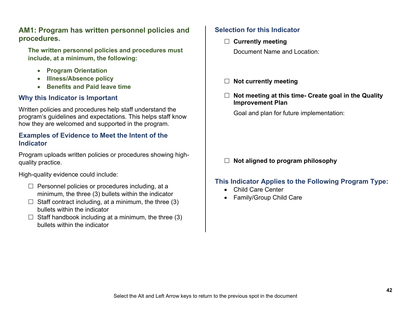# **AM1: Program has written personnel policies and procedures.**

**The written personnel policies and procedures must include, at a minimum, the following:** 

- **Program Orientation**
- **Illness/Absence policy**
- **Benefits and Paid leave time**

### **Why this Indicator is Important**

Written policies and procedures help staff understand the program's guidelines and expectations. This helps staff know how they are welcomed and supported in the program.

#### **Examples of Evidence to Meet the Intent of the Indicator**

Program uploads written policies or procedures showing highquality practice.

High-quality evidence could include:

- $\Box$  Personnel policies or procedures including, at a minimum, the three (3) bullets within the indicator
- $\Box$  Staff contract including, at a minimum, the three (3) bullets within the indicator
- $\Box$  Staff handbook including at a minimum, the three (3) bullets within the indicator

## **Selection for this Indicator**

 **Currently meeting** Document Name and Location:

- **Not currently meeting**
- **Not meeting at this time- Create goal in the Quality Improvement Plan**

Goal and plan for future implementation:

# **Not aligned to program philosophy**

- Child Care Center
- Family/Group Child Care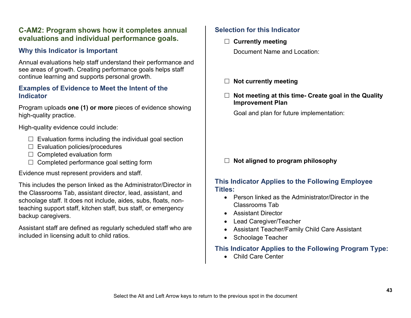# **C-AM2: Program shows how it completes annual evaluations and individual performance goals.**

# **Why this Indicator is Important**

Annual evaluations help staff understand their performance and see areas of growth. Creating performance goals helps staff continue learning and supports personal growth.

#### **Examples of Evidence to Meet the Intent of the Indicator**

Program uploads **one (1) or more** pieces of evidence showing high-quality practice.

High-quality evidence could include:

- $\Box$  Evaluation forms including the individual goal section
- $\Box$  Evaluation policies/procedures
- $\Box$  Completed evaluation form
- $\Box$  Completed performance goal setting form

Evidence must represent providers and staff.

This includes the person linked as the Administrator/Director in the Classrooms Tab, assistant director, lead, assistant, and schoolage staff. It does not include, aides, subs, floats, nonteaching support staff, kitchen staff, bus staff, or emergency backup caregivers.

Assistant staff are defined as regularly scheduled staff who are included in licensing adult to child ratios.

### **Selection for this Indicator**

**Currently meeting**

Document Name and Location:

- **Not currently meeting**
- **Not meeting at this time- Create goal in the Quality Improvement Plan**

Goal and plan for future implementation:

### **Not aligned to program philosophy**

#### **This Indicator Applies to the Following Employee Titles:**

- Person linked as the Administrator/Director in the Classrooms Tab
- Assistant Director
- Lead Caregiver/Teacher
- Assistant Teacher/Family Child Care Assistant
- Schoolage Teacher

### **This Indicator Applies to the Following Program Type:**

• Child Care Center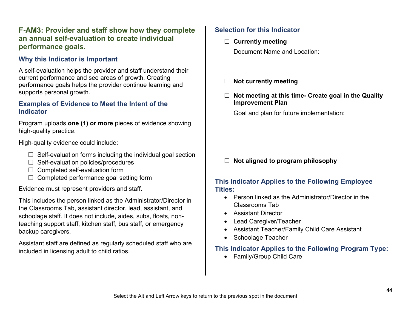# **F-AM3: Provider and staff show how they complete an annual self-evaluation to create individual performance goals.**

# **Why this Indicator is Important**

A self-evaluation helps the provider and staff understand their current performance and see areas of growth. Creating performance goals helps the provider continue learning and supports personal growth.

#### **Examples of Evidence to Meet the Intent of the Indicator**

Program uploads **one (1) or more** pieces of evidence showing high-quality practice.

High-quality evidence could include:

- $\Box$  Self-evaluation forms including the individual goal section
- $\Box$  Self-evaluation policies/procedures
- $\Box$  Completed self-evaluation form
- $\Box$  Completed performance goal setting form

Evidence must represent providers and staff.

This includes the person linked as the Administrator/Director in the Classrooms Tab, assistant director, lead, assistant, and schoolage staff. It does not include, aides, subs, floats, nonteaching support staff, kitchen staff, bus staff, or emergency backup caregivers.

Assistant staff are defined as regularly scheduled staff who are included in licensing adult to child ratios.

### **Selection for this Indicator**

- **Currently meeting** Document Name and Location:
- **Not currently meeting**
- **Not meeting at this time- Create goal in the Quality Improvement Plan**

Goal and plan for future implementation:

#### **Not aligned to program philosophy**

#### **This Indicator Applies to the Following Employee Titles:**

- Person linked as the Administrator/Director in the Classrooms Tab
- Assistant Director
- Lead Caregiver/Teacher
- Assistant Teacher/Family Child Care Assistant
- Schoolage Teacher

# **This Indicator Applies to the Following Program Type:**

• Family/Group Child Care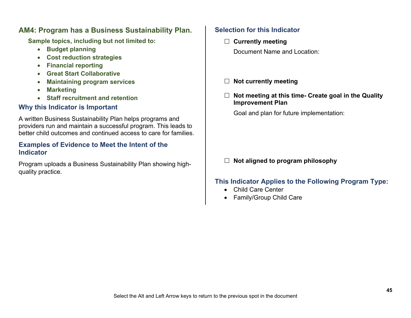### **AM4: Program has a Business Sustainability Plan.**

**Sample topics, including but not limited to:** 

- **Budget planning**
- **Cost reduction strategies**
- **Financial reporting**
- **Great Start Collaborative**
- **Maintaining program services**
- **Marketing**
- **Staff recruitment and retention**

# **Why this Indicator is Important**

A written Business Sustainability Plan helps programs and providers run and maintain a successful program. This leads to better child outcomes and continued access to care for families.

#### **Examples of Evidence to Meet the Intent of the Indicator**

Program uploads a Business Sustainability Plan showing highquality practice.

# **Selection for this Indicator**

- **Currently meeting** Document Name and Location:
- **Not currently meeting**
- **Not meeting at this time- Create goal in the Quality Improvement Plan**

Goal and plan for future implementation:

# **Not aligned to program philosophy**

- Child Care Center
- Family/Group Child Care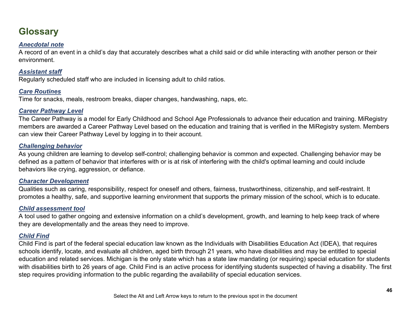# <span id="page-45-0"></span>**Glossary**

#### *Anecdotal note*

A record of an event in a child's day that accurately describes what a child said or did while interacting with another person or their environment. 

#### *Assistant staff*

Regularly scheduled staff who are included in licensing adult to child ratios.

#### <span id="page-45-4"></span>*Care Routines*

Time for snacks, meals, restroom breaks, diaper changes, handwashing, naps, etc.

#### *Career Pathway Level*

The Career Pathway is a model for Early Childhood and School Age Professionals to advance their education and training. MiRegistry members are awarded a Career Pathway Level based on the education and training that is verified in the MiRegistry system. Members can view their Career Pathway Level by logging in to their account.

#### <span id="page-45-2"></span>*Challenging behavior*

As young children are learning to develop self-control; challenging behavior is common and expected. Challenging behavior may be defined as a pattern of behavior that interferes with or is at risk of interfering with the child's optimal learning and could include behaviors like crying, aggression, or defiance.

#### <span id="page-45-3"></span>*Character Development*

Qualities such as caring, responsibility, respect for oneself and others, fairness, trustworthiness, citizenship, and self-restraint. It promotes a healthy, safe, and supportive learning environment that supports the primary mission of the school, which is to educate.

#### <span id="page-45-5"></span>*Child assessment tool*

A tool used to gather ongoing and extensive information on a child's development, growth, and learning to help keep track of where they are developmentally and the areas they need to improve.

#### <span id="page-45-1"></span>*Child Find*

Child Find is part of the federal special education law known as the Individuals with Disabilities Education Act (IDEA), that requires schools identify, locate, and evaluate all children, aged birth through 21 years, who have disabilities and may be entitled to special education and related services. Michigan is the only state which has a state law mandating (or requiring) special education for students with disabilities birth to 26 years of age. Child Find is an active process for identifying students suspected of having a disability. The first step requires providing information to the public regarding the availability of special education services.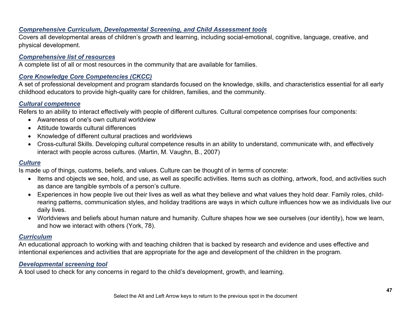#### *Comprehensive Curriculum, Developmental Screening, and Child Assessment tools*

Covers all developmental areas of children's growth and learning, including social-emotional, cognitive, language, creative, and physical development.

#### *Comprehensive list of resources*

A complete list of all or most resources in the community that are available for families.

#### *Core Knowledge Core Competencies (CKCC)*

A set of professional development and program standards focused on the knowledge, skills, and characteristics essential for all early childhood educators to provide high-quality care for children, families, and the community. 

#### *Cultural competence*

Refers to an ability to interact effectively with people of different cultures. Cultural competence comprises four components:  

- Awareness of one's own cultural worldview
- Attitude towards cultural differences
- Knowledge of different cultural practices and worldviews
- Cross-cultural Skills. Developing cultural competence results in an ability to understand, communicate with, and effectively interact with people across cultures. (Martin, M. Vaughn, B., 2007)

#### <span id="page-46-0"></span>*Culture*

Is made up of things, customs, beliefs, and values. Culture can be thought of in terms of concrete: 

- Items and objects we see, hold, and use, as well as specific activities. Items such as clothing, artwork, food, and activities such as dance are tangible symbols of a person's culture.
- Experiences in how people live out their lives as well as what they believe and what values they hold dear. Family roles, childrearing patterns, communication styles, and holiday traditions are ways in which culture influences how we as individuals live our daily lives.
- Worldviews and beliefs about human nature and humanity. Culture shapes how we see ourselves (our identity), how we learn, and how we interact with others (York, 78).

#### <span id="page-46-1"></span>*Curriculum*

An educational approach to working with and teaching children that is backed by research and evidence and uses effective and intentional experiences and activities that are appropriate for the age and development of the children in the program.

#### <span id="page-46-2"></span>*Developmental screening tool*

A tool used to check for any concerns in regard to the child's development, growth, and learning.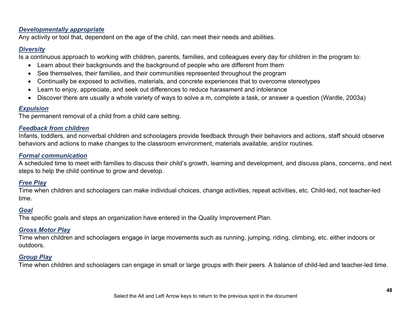#### *Developmentally appropriate*

Any activity or tool that, dependent on the age of the child, can meet their needs and abilities.

#### <span id="page-47-5"></span>*Diversity*

Is a continuous approach to working with children, parents, families, and colleagues every day for children in the program to:  

- Learn about their backgrounds and the background of people who are different from them
- See themselves, their families, and their communities represented throughout the program
- Continually be exposed to activities, materials, and concrete experiences that to overcome stereotypes
- Learn to enjoy, appreciate, and seek out differences to reduce harassment and intolerance
- Discover there are usually a whole variety of ways to solve a m, complete a task, or answer a question (Wardle, 2003a)

#### <span id="page-47-1"></span>*Expulsion*

The permanent removal of a child from a child care setting.

#### *Feedback from children*

Infants, toddlers, and nonverbal children and schoolagers provide feedback through their behaviors and actions, staff should observe behaviors and actions to make changes to the classroom environment, materials available, and/or routines.

#### *Formal communication*

A scheduled time to meet with families to discuss their child's growth, learning and development, and discuss plans, concerns, and next steps to help the child continue to grow and develop. 

#### <span id="page-47-2"></span>*Free Play*

Time when children and schoolagers can make individual choices, change activities, repeat activities, etc. Child-led, not teacher-led time.

#### <span id="page-47-0"></span>*Goal*

The specific goals and steps an organization have entered in the Quality Improvement Plan.

#### <span id="page-47-4"></span>*Gross Motor Play*

Time when children and schoolagers engage in large movements such as running, jumping, riding, climbing, etc. either indoors or outdoors.

#### <span id="page-47-3"></span>*Group Play*

Time when children and schoolagers can engage in small or large groups with their peers. A balance of child-led and teacher-led time.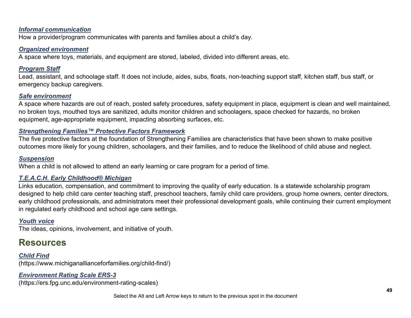#### *Informal communication*

How a provider/program communicates with parents and families about a child's day. 

#### <span id="page-48-5"></span>*Organized environment*

A space where toys, materials, and equipment are stored, labeled, divided into different areas, etc.

#### *Program Staff*

Lead, assistant, and schoolage staff. It does not include, aides, subs, floats, non-teaching support staff, kitchen staff, bus staff, or emergency backup caregivers.

#### <span id="page-48-1"></span>*Safe environment*

A space where hazards are out of reach, posted safety procedures, safety equipment in place, equipment is clean and well maintained, no broken toys, mouthed toys are sanitized, adults monitor children and schoolagers, space checked for hazards, no broken equipment, age-appropriate equipment, impacting absorbing surfaces, etc.

#### *Strengthening Families™ Protective Factors Framework*

The five protective factors at the foundation of Strengthening Families are characteristics that have been shown to make positive outcomes more likely for young children, schoolagers, and their families, and to reduce the likelihood of child abuse and neglect.

#### <span id="page-48-2"></span>*Suspension*

When a child is not allowed to attend an early learning or care program for a period of time.

#### *T.E.A.C.H. Early Childhood® Michigan*

Links education, compensation, and commitment to improving the quality of early education. Is a statewide scholarship program designed to help child care center teaching staff, preschool teachers, family child care providers, group home owners, center directors, early childhood professionals, and administrators meet their professional development goals, while continuing their current employment in regulated early childhood and school age care settings.

#### <span id="page-48-3"></span>*Youth voice*

The ideas, opinions, involvement, and initiative of youth.

# <span id="page-48-0"></span>**Resources**

*[Child Find](https://www.michiganallianceforfamilies.org/child-find/)*  (https://www.michiganallianceforfamilies.org/child-find/)

#### <span id="page-48-4"></span>*[Environment Rating Scale](https://ers.fpg.unc.edu/environment-rating-scales) ERS-3*

(https://ers.fpg.unc.edu/environment-rating-scales)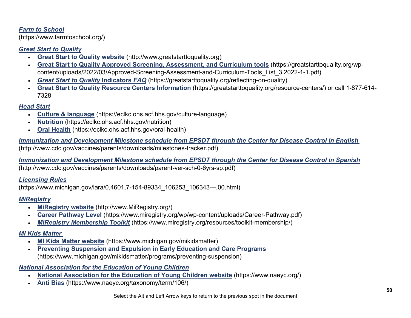#### *[Farm to School](https://www.farmtoschool.org/)*

(https://www.farmtoschool.org/)

#### <span id="page-49-0"></span>*Great Start to Quality*

- **[Great Start to Quality website](https://www.greatstarttoquality.org/)** (http://www.greatstarttoquality.org)
- **[Great Start to Quality Approved Screening, Assessment, and Curriculum tools](https://greatstarttoquality.org/wp-content/uploads/2022/03/Approved-Screening-Assessment-and-Curriculum-Tools_List_3.2022-1-1.pdf)** (https://greatstarttoquality.org/wpcontent/uploads/2022/03/Approved-Screening-Assessment-and-Curriculum-Tools\_List\_3.2022-1-1.pdf)
- *Great Start to Quality* **[Indicators](https://greatstarttoquality.org/reflecting-on-quality)** *FAQ* (https://greatstarttoquality.org/reflecting-on-quality)
- **[Great Start to Quality Resource Centers Information](https://ecic4kidsorg-my.sharepoint.com/personal/clewis_ecic4kids_org/Documents/Validation/Revisions%20to%20GSQ%20FY22/Great%20Start%20to%20Quality%20Resource%20Centers%20Information)** (https://greatstarttoquality.org/resource-centers/) or call 1-877-614- 7328

### *Head Start*

- **[Culture & language](https://eclkc.ohs.acf.hhs.gov/culture-language)** (https://eclkc.ohs.acf.hhs.gov/culture-language)
- **[Nutrition](https://ecic4kidsorg-my.sharepoint.com/personal/clewis_ecic4kids_org/Documents/Validation/Revisions%20to%20GSQ%20FY22/Nutrition)** (https://eclkc.ohs.acf.hhs.gov/nutrition)
- **[Oral Health](https://ecic4kidsorg-my.sharepoint.com/personal/clewis_ecic4kids_org/Documents/Validation/Revisions%20to%20GSQ%20FY22/Oral%20Health)** (https://eclkc.ohs.acf.hhs.gov/oral-health)

*[Immunization and Development Milestone schedule from EPSDT through the Center for Disease Control in English](http://www.cdc.gov/vaccines/parents/downloads/milestones-tracker.pdf)* (http://www.cdc.gov/vaccines/parents/downloads/milestones-tracker.pdf)

*[Immunization and Development Milestone schedule from EPSDT through the Center for Disease Control in Spanish](http://www.cdc.gov/vaccines/parents/downloads/parent-ver-sch-0-6yrs-sp.pdf)* (http://www.cdc.gov/vaccines/parents/downloads/parent-ver-sch-0-6yrs-sp.pdf)

#### *[Licensing Rules](https://www.michigan.gov/lara/0,4601,7-154-89334_106253_106343---,00.html)*

(https://www.michigan.gov/lara/0,4601,7-154-89334\_106253\_106343---,00.html)

### <span id="page-49-1"></span>*MiRegistry*

- **[MiRegistry website](http://www.miregistry.org/)** (http://www.MiRegistry.org/)
- **[Career Pathway Level](https://ecic4kidsorg-my.sharepoint.com/personal/clewis_ecic4kids_org/Documents/Validation/Revisions%20to%20GSQ%20FY22/Career%20Pathway%20Level)** (https://www.miregistry.org/wp/wp-content/uploads/Career-Pathway.pdf)
- *[MiRegistry Membership Toolkit](https://www.miregistry.org/resources/toolkit-membership/)* (https://www.miregistry.org/resources/toolkit-membership/)

#### *MI Kids Matter*

- **[MI Kids Matter website](https://ecic4kidsorg-my.sharepoint.com/personal/clewis_ecic4kids_org/Documents/Validation/Revisions%20to%20GSQ%20FY22/MI%20Kids%20Matter%20website)** (https://www.michigan.gov/mikidsmatter)
- **[Preventing Suspension and Expulsion in Early Education and Care Programs](https://www.michigan.gov/mikidsmatter/programs/preventing-suspension)** (https://www.michigan.gov/mikidsmatter/programs/preventing-suspension)

#### *National Association for the Education of Young Children*

- **[National Association for the Education of Young Children website](https://www.naeyc.org/)** (https://www.naeyc.org/)
- **[Anti Bias](https://ecic4kidsorg-my.sharepoint.com/personal/clewis_ecic4kids_org/Documents/Validation/Revisions%20to%20GSQ%20FY22/Anti%20Bias)** (https://www.naeyc.org/taxonomy/term/106/)